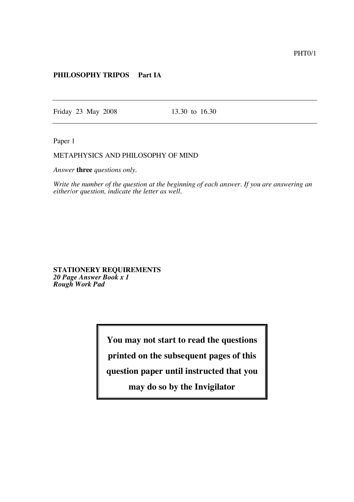## **PHILOSOPHY TRIPOS Part IA**

Friday 23 May 2008 13.30 to 16.30

Paper 1

## METAPHYSICS AND PHILOSOPHY OF MIND

*Answer* **three** *questions only.*

*Write the number of the question at the beginning of each answer. If you are answering an either/or question, indicate the letter as well.*

**STATIONERY REQUIREMENTS** *20 Page Answer Book x 1 Rough Work Pad*

**You may not start to read the questions**

**printed on the subsequent pages of this**

**question paper until instructed that you**

**may do so by the Invigilator**